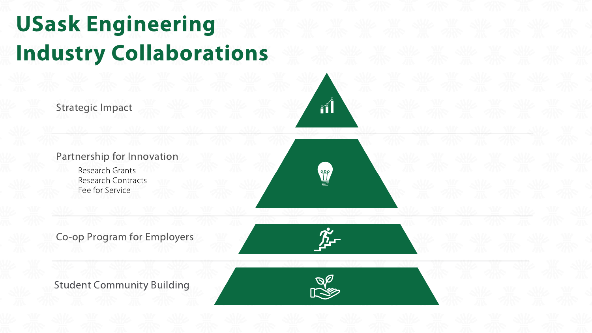# USask Engineering Industry Collaborations

Student Community Building







 $99$ 





### Partnership for Innovation

Co-op Program for Employers

Strategic Impact

Research Grants Research Contracts Fee for Service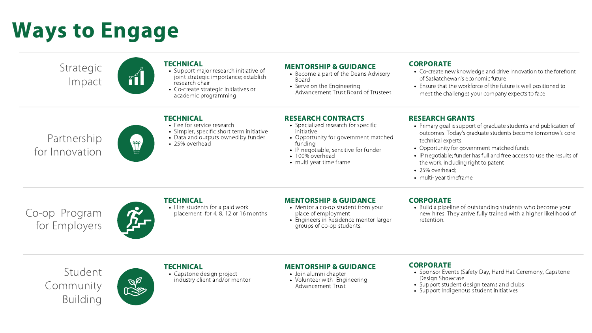Strategic Impact



### **TECHNICAL**

Partnership for Innovation



#### **TECHNICAL**

Co-op Program for Employers



#### **TECHNICAL**

Student Community Building



#### **TECHNICAL**

# Ways to Engage

- Support major research initiative of joint strategic importance; establish research chair
- Co-create strategic initiatives or academic programming

| CE<br>Advisory<br>Trustees | <b>CORPORATE</b><br>• Co-create new knowledge and drive innovation to the forefront<br>of Saskatchewan's economic future<br>Ensure that the workforce of the future is well positioned to<br>meet the challenges your company expects to face                                                                                                                                               |
|----------------------------|---------------------------------------------------------------------------------------------------------------------------------------------------------------------------------------------------------------------------------------------------------------------------------------------------------------------------------------------------------------------------------------------|
| ific<br>matched<br>nder    | <b>RESEARCH GRANTS</b><br>• Primary goal is support of graduate students and publication of<br>outcomes. Today's graduate students become tomorrow's core<br>technical experts.<br>• Opportunity for government matched funds<br>• IP negotiable; funder has full and free access to use the results of<br>the work, including right to patent<br>• 25% overhead;<br>• multi-year timeframe |
| CE<br>i your<br>or larger: | <b>CORPORATE</b><br>• Build a pipeline of outstanding students who become your<br>new hires. They arrive fully trained with a higher likelihood of<br>retention.                                                                                                                                                                                                                            |

#### **CORPORATE**

- Sponsor Events (Safety Day, Hard Hat Ceremony, Capstone Design Showcase
- Support student design teams and clubs
- Support Indigenous student initiatives
- Fee for service research
- Simpler, specific short term initiative
- Data and outputs owned by funder
- 25% overhead
- Specialized research for speciinitiative
- Opportunity for government funding
- $\cdot$  IP negotiable, sensitive for fur
- 100% overhead
- multi year time frame

### MENTORSHIP & GUIDANCE

- $\bullet$  Become a part of the Deans A Board
- Serve on the Engineering Advancement Trust Board of

• Hire students for a paid work placement for 4, 8, 12 or 16 months

- Mentor a co-op student from place of employment
- Engineers in Residence ment groups of co-op students.

#### RESEARCH CONTRACTS

#### MENTORSHIP & GUIDANCE

Capstone design project industry client and/or mentor

- Join alumni chapter
- Volunteer with Engineering Advancement Trust

#### MENTORSHIP & GUIDANCE